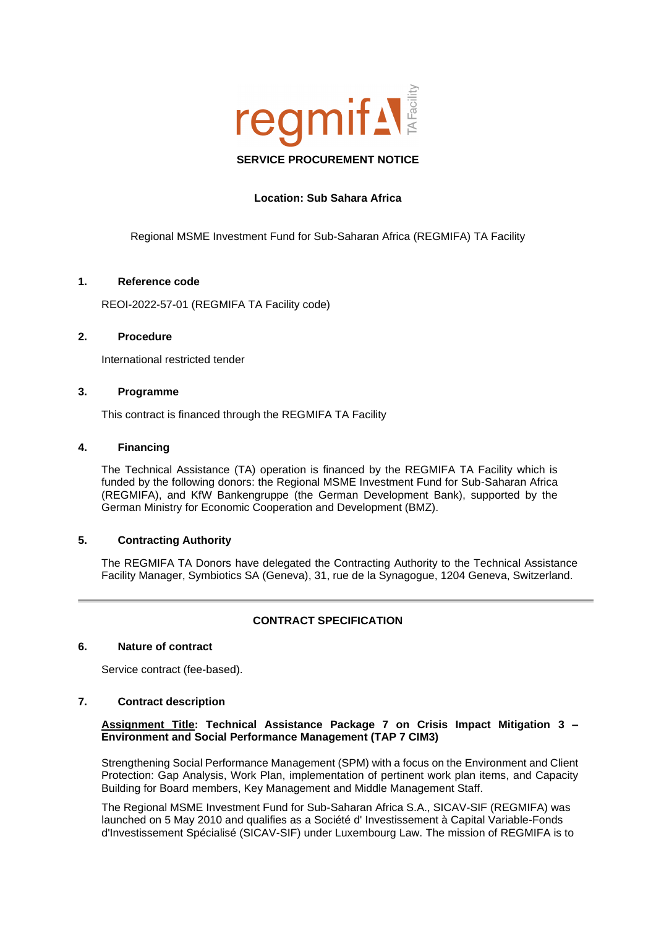

# **Location: Sub Sahara Africa**

Regional MSME Investment Fund for Sub-Saharan Africa (REGMIFA) TA Facility

## **1. Reference code**

REOI-2022-57-01 (REGMIFA TA Facility code)

## **2. Procedure**

International restricted tender

# **3. Programme**

This contract is financed through the REGMIFA TA Facility

## **4. Financing**

The Technical Assistance (TA) operation is financed by the REGMIFA TA Facility which is funded by the following donors: the Regional MSME Investment Fund for Sub-Saharan Africa (REGMIFA), and KfW Bankengruppe (the German Development Bank), supported by the German Ministry for Economic Cooperation and Development (BMZ).

# **5. Contracting Authority**

The REGMIFA TA Donors have delegated the Contracting Authority to the Technical Assistance Facility Manager, Symbiotics SA (Geneva), 31, rue de la Synagogue, 1204 Geneva, Switzerland.

# **CONTRACT SPECIFICATION**

### **6. Nature of contract**

Service contract (fee-based).

### **7. Contract description**

## **Assignment Title: Technical Assistance Package 7 on Crisis Impact Mitigation 3 – Environment and Social Performance Management (TAP 7 CIM3)**

Strengthening Social Performance Management (SPM) with a focus on the Environment and Client Protection: Gap Analysis, Work Plan, implementation of pertinent work plan items, and Capacity Building for Board members, Key Management and Middle Management Staff.

The Regional MSME Investment Fund for Sub-Saharan Africa S.A., SICAV-SIF (REGMIFA) was launched on 5 May 2010 and qualifies as a Société d' Investissement à Capital Variable-Fonds d'Investissement Spécialisé (SICAV-SIF) under Luxembourg Law. The mission of REGMIFA is to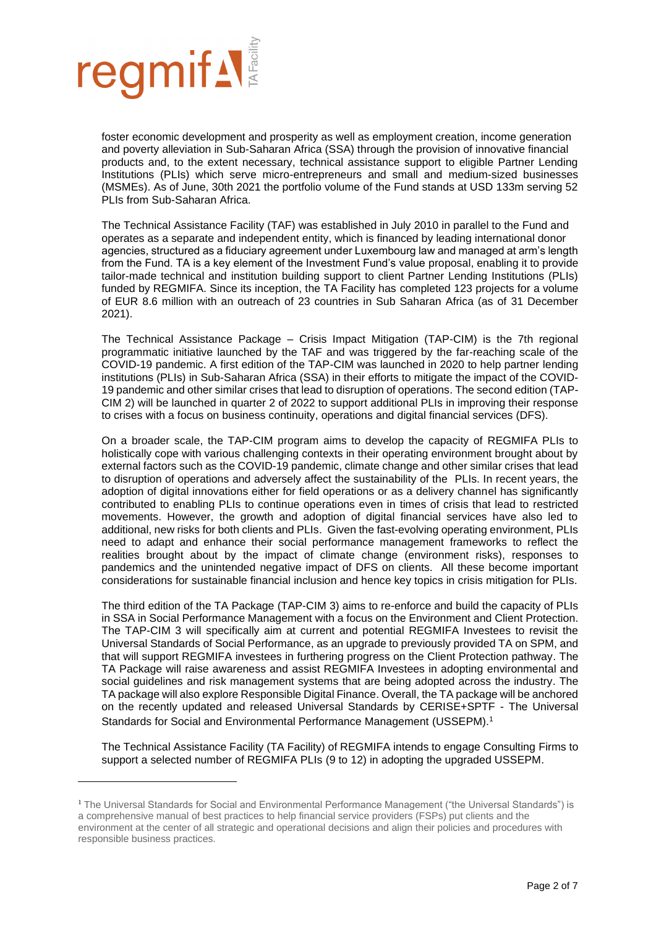

foster economic development and prosperity as well as employment creation, income generation and poverty alleviation in Sub-Saharan Africa (SSA) through the provision of innovative financial products and, to the extent necessary, technical assistance support to eligible Partner Lending Institutions (PLIs) which serve micro-entrepreneurs and small and medium-sized businesses (MSMEs). As of June, 30th 2021 the portfolio volume of the Fund stands at USD 133m serving 52 PLIs from Sub-Saharan Africa.

The Technical Assistance Facility (TAF) was established in July 2010 in parallel to the Fund and operates as a separate and independent entity, which is financed by leading international donor agencies, structured as a fiduciary agreement under Luxembourg law and managed at arm's length from the Fund. TA is a key element of the Investment Fund's value proposal, enabling it to provide tailor-made technical and institution building support to client Partner Lending Institutions (PLIs) funded by REGMIFA. Since its inception, the TA Facility has completed 123 projects for a volume of EUR 8.6 million with an outreach of 23 countries in Sub Saharan Africa (as of 31 December 2021).

The Technical Assistance Package – Crisis Impact Mitigation (TAP-CIM) is the 7th regional programmatic initiative launched by the TAF and was triggered by the far-reaching scale of the COVID-19 pandemic. A first edition of the TAP-CIM was launched in 2020 to help partner lending institutions (PLIs) in Sub-Saharan Africa (SSA) in their efforts to mitigate the impact of the COVID-19 pandemic and other similar crises that lead to disruption of operations. The second edition (TAP-CIM 2) will be launched in quarter 2 of 2022 to support additional PLIs in improving their response to crises with a focus on business continuity, operations and digital financial services (DFS).

On a broader scale, the TAP-CIM program aims to develop the capacity of REGMIFA PLIs to holistically cope with various challenging contexts in their operating environment brought about by external factors such as the COVID-19 pandemic, climate change and other similar crises that lead to disruption of operations and adversely affect the sustainability of the PLIs. In recent years, the adoption of digital innovations either for field operations or as a delivery channel has significantly contributed to enabling PLIs to continue operations even in times of crisis that lead to restricted movements. However, the growth and adoption of digital financial services have also led to additional, new risks for both clients and PLIs. Given the fast-evolving operating environment, PLIs need to adapt and enhance their social performance management frameworks to reflect the realities brought about by the impact of climate change (environment risks), responses to pandemics and the unintended negative impact of DFS on clients. All these become important considerations for sustainable financial inclusion and hence key topics in crisis mitigation for PLIs.

The third edition of the TA Package (TAP-CIM 3) aims to re-enforce and build the capacity of PLIs in SSA in Social Performance Management with a focus on the Environment and Client Protection. The TAP-CIM 3 will specifically aim at current and potential REGMIFA Investees to revisit the Universal Standards of Social Performance, as an upgrade to previously provided TA on SPM, and that will support REGMIFA investees in furthering progress on the Client Protection pathway. The TA Package will raise awareness and assist REGMIFA Investees in adopting environmental and social guidelines and risk management systems that are being adopted across the industry. The TA package will also explore Responsible Digital Finance. Overall, the TA package will be anchored on the recently updated and released Universal Standards by CERISE+SPTF - The Universal Standards for Social and Environmental Performance Management (USSEPM). 1

The Technical Assistance Facility (TA Facility) of REGMIFA intends to engage Consulting Firms to support a selected number of REGMIFA PLIs (9 to 12) in adopting the upgraded USSEPM.

<sup>1</sup> The Universal Standards for Social and Environmental Performance Management ("the Universal Standards") is a comprehensive manual of best practices to help financial service providers (FSPs) put clients and the environment at the center of all strategic and operational decisions and align their policies and procedures with responsible business practices.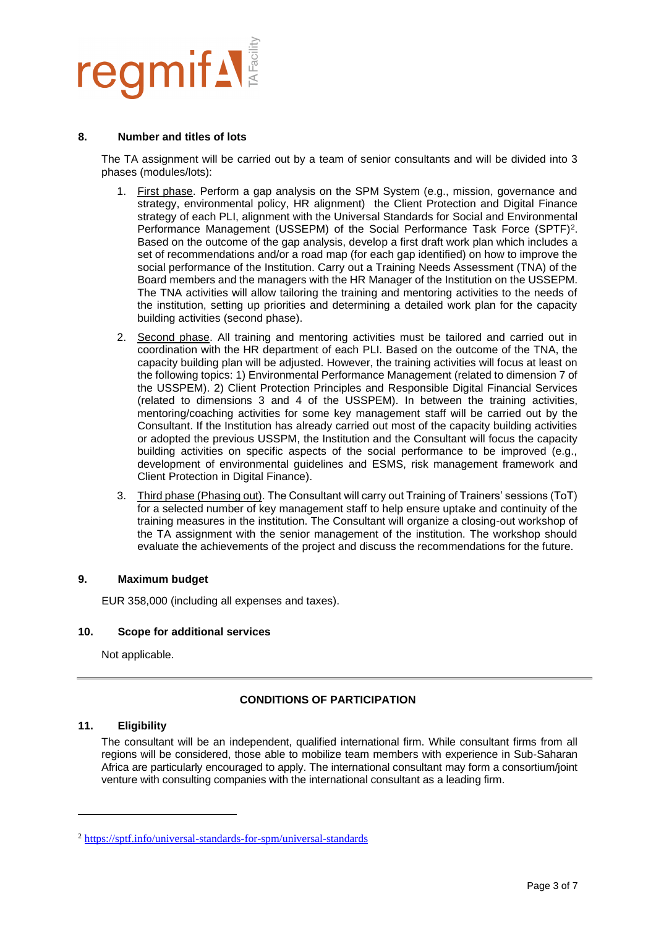

### **8. Number and titles of lots**

The TA assignment will be carried out by a team of senior consultants and will be divided into 3 phases (modules/lots):

- 1. First phase. Perform a gap analysis on the SPM System (e.g., mission, governance and strategy, environmental policy, HR alignment) the Client Protection and Digital Finance strategy of each PLI, alignment with the Universal Standards for Social and Environmental Performance Management (USSEPM) of the Social Performance Task Force (SPTF)<sup>2</sup>. Based on the outcome of the gap analysis, develop a first draft work plan which includes a set of recommendations and/or a road map (for each gap identified) on how to improve the social performance of the Institution. Carry out a Training Needs Assessment (TNA) of the Board members and the managers with the HR Manager of the Institution on the USSEPM. The TNA activities will allow tailoring the training and mentoring activities to the needs of the institution, setting up priorities and determining a detailed work plan for the capacity building activities (second phase).
- 2. Second phase. All training and mentoring activities must be tailored and carried out in coordination with the HR department of each PLI. Based on the outcome of the TNA, the capacity building plan will be adjusted. However, the training activities will focus at least on the following topics: 1) Environmental Performance Management (related to dimension 7 of the USSPEM). 2) Client Protection Principles and Responsible Digital Financial Services (related to dimensions 3 and 4 of the USSPEM). In between the training activities, mentoring/coaching activities for some key management staff will be carried out by the Consultant. If the Institution has already carried out most of the capacity building activities or adopted the previous USSPM, the Institution and the Consultant will focus the capacity building activities on specific aspects of the social performance to be improved (e.g., development of environmental guidelines and ESMS, risk management framework and Client Protection in Digital Finance).
- 3. Third phase (Phasing out). The Consultant will carry out Training of Trainers' sessions (ToT) for a selected number of key management staff to help ensure uptake and continuity of the training measures in the institution. The Consultant will organize a closing-out workshop of the TA assignment with the senior management of the institution. The workshop should evaluate the achievements of the project and discuss the recommendations for the future.

# **9. Maximum budget**

EUR 358,000 (including all expenses and taxes).

# **10. Scope for additional services**

Not applicable.

# **CONDITIONS OF PARTICIPATION**

### **11. Eligibility**

The consultant will be an independent, qualified international firm. While consultant firms from all regions will be considered, those able to mobilize team members with experience in Sub-Saharan Africa are particularly encouraged to apply. The international consultant may form a consortium/joint venture with consulting companies with the international consultant as a leading firm.

<sup>2</sup> <https://sptf.info/universal-standards-for-spm/universal-standards>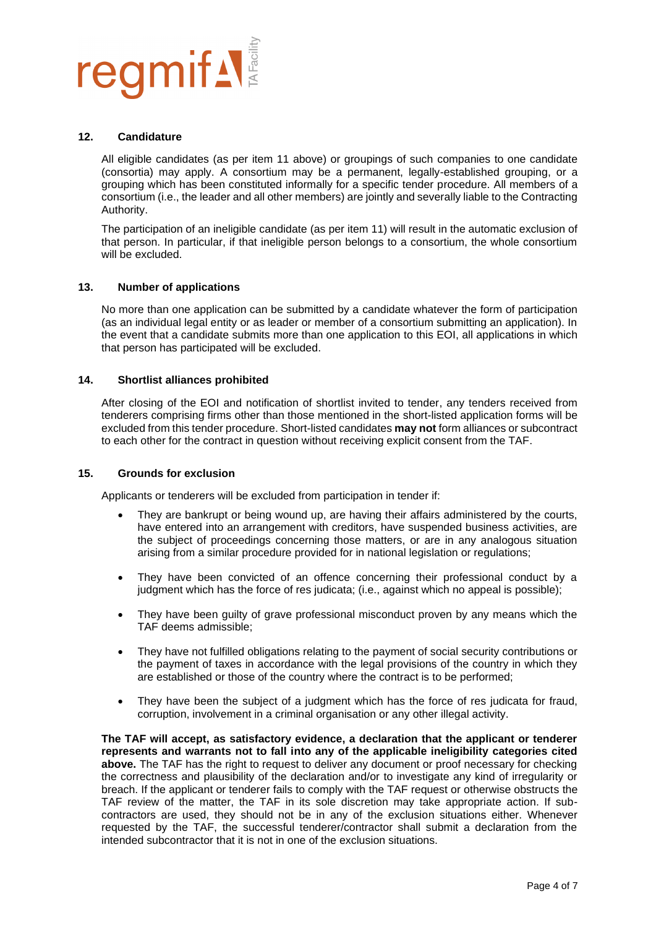

### **12. Candidature**

All eligible candidates (as per item 11 above) or groupings of such companies to one candidate (consortia) may apply. A consortium may be a permanent, legally-established grouping, or a grouping which has been constituted informally for a specific tender procedure. All members of a consortium (i.e., the leader and all other members) are jointly and severally liable to the Contracting Authority.

The participation of an ineligible candidate (as per item 11) will result in the automatic exclusion of that person. In particular, if that ineligible person belongs to a consortium, the whole consortium will be excluded.

## **13. Number of applications**

No more than one application can be submitted by a candidate whatever the form of participation (as an individual legal entity or as leader or member of a consortium submitting an application). In the event that a candidate submits more than one application to this EOI, all applications in which that person has participated will be excluded.

## **14. Shortlist alliances prohibited**

After closing of the EOI and notification of shortlist invited to tender, any tenders received from tenderers comprising firms other than those mentioned in the short-listed application forms will be excluded from this tender procedure. Short-listed candidates **may not** form alliances or subcontract to each other for the contract in question without receiving explicit consent from the TAF.

### **15. Grounds for exclusion**

Applicants or tenderers will be excluded from participation in tender if:

- They are bankrupt or being wound up, are having their affairs administered by the courts, have entered into an arrangement with creditors, have suspended business activities, are the subject of proceedings concerning those matters, or are in any analogous situation arising from a similar procedure provided for in national legislation or regulations;
- They have been convicted of an offence concerning their professional conduct by a judgment which has the force of res judicata; (i.e., against which no appeal is possible);
- They have been guilty of grave professional misconduct proven by any means which the TAF deems admissible;
- They have not fulfilled obligations relating to the payment of social security contributions or the payment of taxes in accordance with the legal provisions of the country in which they are established or those of the country where the contract is to be performed;
- They have been the subject of a judgment which has the force of res judicata for fraud, corruption, involvement in a criminal organisation or any other illegal activity.

**The TAF will accept, as satisfactory evidence, a declaration that the applicant or tenderer represents and warrants not to fall into any of the applicable ineligibility categories cited above.** The TAF has the right to request to deliver any document or proof necessary for checking the correctness and plausibility of the declaration and/or to investigate any kind of irregularity or breach. If the applicant or tenderer fails to comply with the TAF request or otherwise obstructs the TAF review of the matter, the TAF in its sole discretion may take appropriate action. If subcontractors are used, they should not be in any of the exclusion situations either. Whenever requested by the TAF, the successful tenderer/contractor shall submit a declaration from the intended subcontractor that it is not in one of the exclusion situations.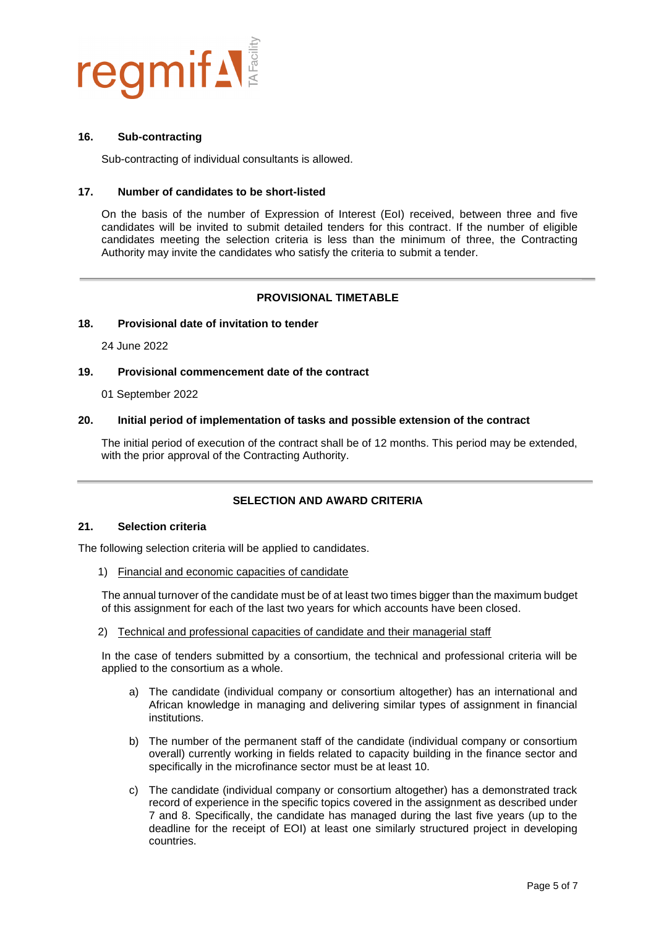

### **16. Sub-contracting**

Sub-contracting of individual consultants is allowed.

## **17. Number of candidates to be short-listed**

On the basis of the number of Expression of Interest (EoI) received, between three and five candidates will be invited to submit detailed tenders for this contract. If the number of eligible candidates meeting the selection criteria is less than the minimum of three, the Contracting Authority may invite the candidates who satisfy the criteria to submit a tender.

# **PROVISIONAL TIMETABLE**

### **18. Provisional date of invitation to tender**

24 June 2022

# **19. Provisional commencement date of the contract**

01 September 2022

## **20. Initial period of implementation of tasks and possible extension of the contract**

The initial period of execution of the contract shall be of 12 months. This period may be extended, with the prior approval of the Contracting Authority.

# **SELECTION AND AWARD CRITERIA**

## **21. Selection criteria**

The following selection criteria will be applied to candidates.

1) Financial and economic capacities of candidate

The annual turnover of the candidate must be of at least two times bigger than the maximum budget of this assignment for each of the last two years for which accounts have been closed.

2) Technical and professional capacities of candidate and their managerial staff

In the case of tenders submitted by a consortium, the technical and professional criteria will be applied to the consortium as a whole.

- a) The candidate (individual company or consortium altogether) has an international and African knowledge in managing and delivering similar types of assignment in financial institutions.
- b) The number of the permanent staff of the candidate (individual company or consortium overall) currently working in fields related to capacity building in the finance sector and specifically in the microfinance sector must be at least 10.
- c) The candidate (individual company or consortium altogether) has a demonstrated track record of experience in the specific topics covered in the assignment as described under 7 and 8. Specifically, the candidate has managed during the last five years (up to the deadline for the receipt of EOI) at least one similarly structured project in developing countries.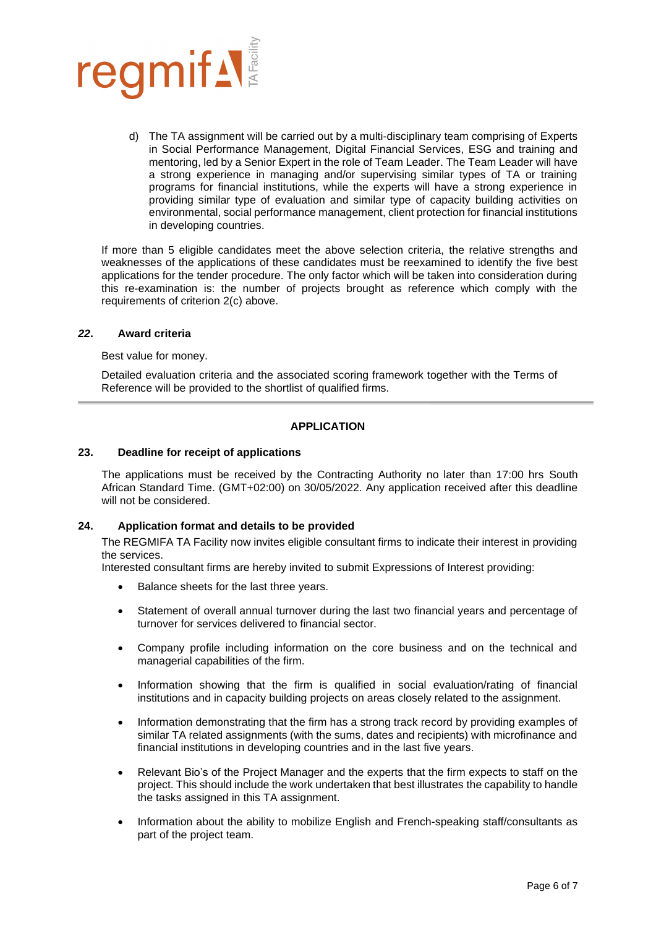

d) The TA assignment will be carried out by a multi-disciplinary team comprising of Experts in Social Performance Management, Digital Financial Services, ESG and training and mentoring, led by a Senior Expert in the role of Team Leader. The Team Leader will have a strong experience in managing and/or supervising similar types of TA or training programs for financial institutions, while the experts will have a strong experience in providing similar type of evaluation and similar type of capacity building activities on environmental, social performance management, client protection for financial institutions in developing countries.

If more than 5 eligible candidates meet the above selection criteria, the relative strengths and weaknesses of the applications of these candidates must be reexamined to identify the five best applications for the tender procedure. The only factor which will be taken into consideration during this re-examination is: the number of projects brought as reference which comply with the requirements of criterion 2(c) above.

## *22***. Award criteria**

Best value for money.

Detailed evaluation criteria and the associated scoring framework together with the Terms of Reference will be provided to the shortlist of qualified firms.

# **APPLICATION**

## **23. Deadline for receipt of applications**

The applications must be received by the Contracting Authority no later than 17:00 hrs South African Standard Time. (GMT+02:00) on 30/05/2022. Any application received after this deadline will not be considered.

# **24. Application format and details to be provided**

The REGMIFA TA Facility now invites eligible consultant firms to indicate their interest in providing the services.

Interested consultant firms are hereby invited to submit Expressions of Interest providing:

- Balance sheets for the last three years.
- Statement of overall annual turnover during the last two financial years and percentage of turnover for services delivered to financial sector.
- Company profile including information on the core business and on the technical and managerial capabilities of the firm.
- Information showing that the firm is qualified in social evaluation/rating of financial institutions and in capacity building projects on areas closely related to the assignment.
- Information demonstrating that the firm has a strong track record by providing examples of similar TA related assignments (with the sums, dates and recipients) with microfinance and financial institutions in developing countries and in the last five years.
- Relevant Bio's of the Project Manager and the experts that the firm expects to staff on the project. This should include the work undertaken that best illustrates the capability to handle the tasks assigned in this TA assignment.
- Information about the ability to mobilize English and French-speaking staff/consultants as part of the project team.